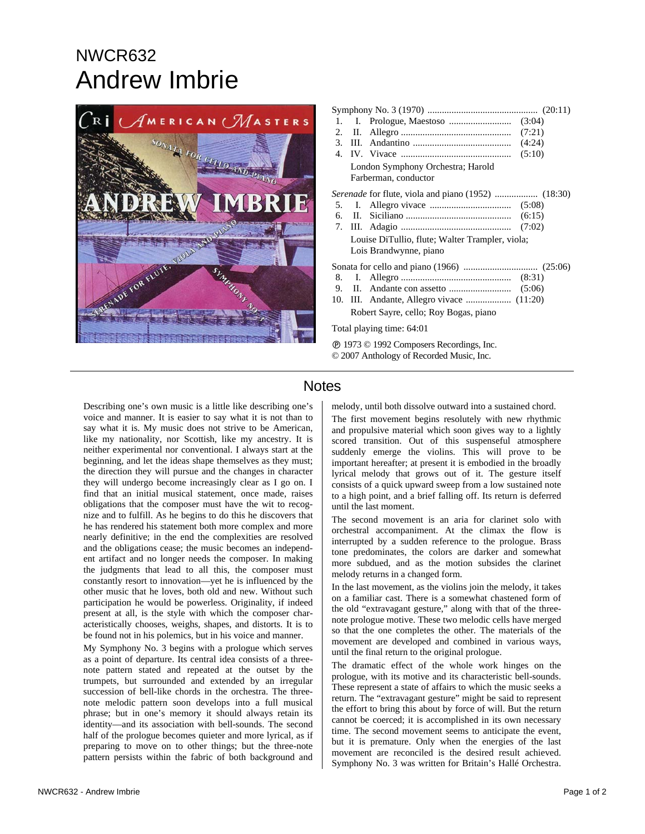# NWCR632 Andrew Imbrie



| 1.                                                  |  |                                                                           |
|-----------------------------------------------------|--|---------------------------------------------------------------------------|
|                                                     |  |                                                                           |
|                                                     |  |                                                                           |
|                                                     |  |                                                                           |
| London Symphony Orchestra; Harold                   |  |                                                                           |
|                                                     |  | Farberman, conductor                                                      |
| Serenade for flute, viola and piano (1952)  (18:30) |  |                                                                           |
|                                                     |  |                                                                           |
|                                                     |  |                                                                           |
|                                                     |  |                                                                           |
|                                                     |  | Louise DiTullio, flute; Walter Trampler, viola;<br>Lois Brandwynne, piano |
|                                                     |  |                                                                           |
|                                                     |  |                                                                           |
|                                                     |  |                                                                           |
|                                                     |  | 10. III. Andante, Allegro vivace  (11:20)                                 |
|                                                     |  | Robert Sayre, cello; Roy Bogas, piano                                     |
| Total playing time: 64:01                           |  |                                                                           |
| © 2007 Anthology of Recorded Music, Inc.            |  |                                                                           |

### Notes

Describing one's own music is a little like describing one's voice and manner. It is easier to say what it is not than to say what it is. My music does not strive to be American, like my nationality, nor Scottish, like my ancestry. It is neither experimental nor conventional. I always start at the beginning, and let the ideas shape themselves as they must; the direction they will pursue and the changes in character they will undergo become increasingly clear as I go on. I find that an initial musical statement, once made, raises obligations that the composer must have the wit to recognize and to fulfill. As he begins to do this he discovers that he has rendered his statement both more complex and more nearly definitive; in the end the complexities are resolved and the obligations cease; the music becomes an independent artifact and no longer needs the composer. In making the judgments that lead to all this, the composer must constantly resort to innovation—yet he is influenced by the other music that he loves, both old and new. Without such participation he would be powerless. Originality, if indeed present at all, is the style with which the composer characteristically chooses, weighs, shapes, and distorts. It is to be found not in his polemics, but in his voice and manner.

My Symphony No. 3 begins with a prologue which serves as a point of departure. Its central idea consists of a threenote pattern stated and repeated at the outset by the trumpets, but surrounded and extended by an irregular succession of bell-like chords in the orchestra. The threenote melodic pattern soon develops into a full musical phrase; but in one's memory it should always retain its identity—and its association with bell-sounds. The second half of the prologue becomes quieter and more lyrical, as if preparing to move on to other things; but the three-note pattern persists within the fabric of both background and

melody, until both dissolve outward into a sustained chord.

The first movement begins resolutely with new rhythmic and propulsive material which soon gives way to a lightly scored transition. Out of this suspenseful atmosphere suddenly emerge the violins. This will prove to be important hereafter; at present it is embodied in the broadly lyrical melody that grows out of it. The gesture itself consists of a quick upward sweep from a low sustained note to a high point, and a brief falling off. Its return is deferred until the last moment.

The second movement is an aria for clarinet solo with orchestral accompaniment. At the climax the flow is interrupted by a sudden reference to the prologue. Brass tone predominates, the colors are darker and somewhat more subdued, and as the motion subsides the clarinet melody returns in a changed form.

In the last movement, as the violins join the melody, it takes on a familiar cast. There is a somewhat chastened form of the old "extravagant gesture," along with that of the threenote prologue motive. These two melodic cells have merged so that the one completes the other. The materials of the movement are developed and combined in various ways, until the final return to the original prologue.

The dramatic effect of the whole work hinges on the prologue, with its motive and its characteristic bell-sounds. These represent a state of affairs to which the music seeks a return. The "extravagant gesture" might be said to represent the effort to bring this about by force of will. But the return cannot be coerced; it is accomplished in its own necessary time. The second movement seems to anticipate the event, but it is premature. Only when the energies of the last movement are reconciled is the desired result achieved. Symphony No. 3 was written for Britain's Hallé Orchestra.